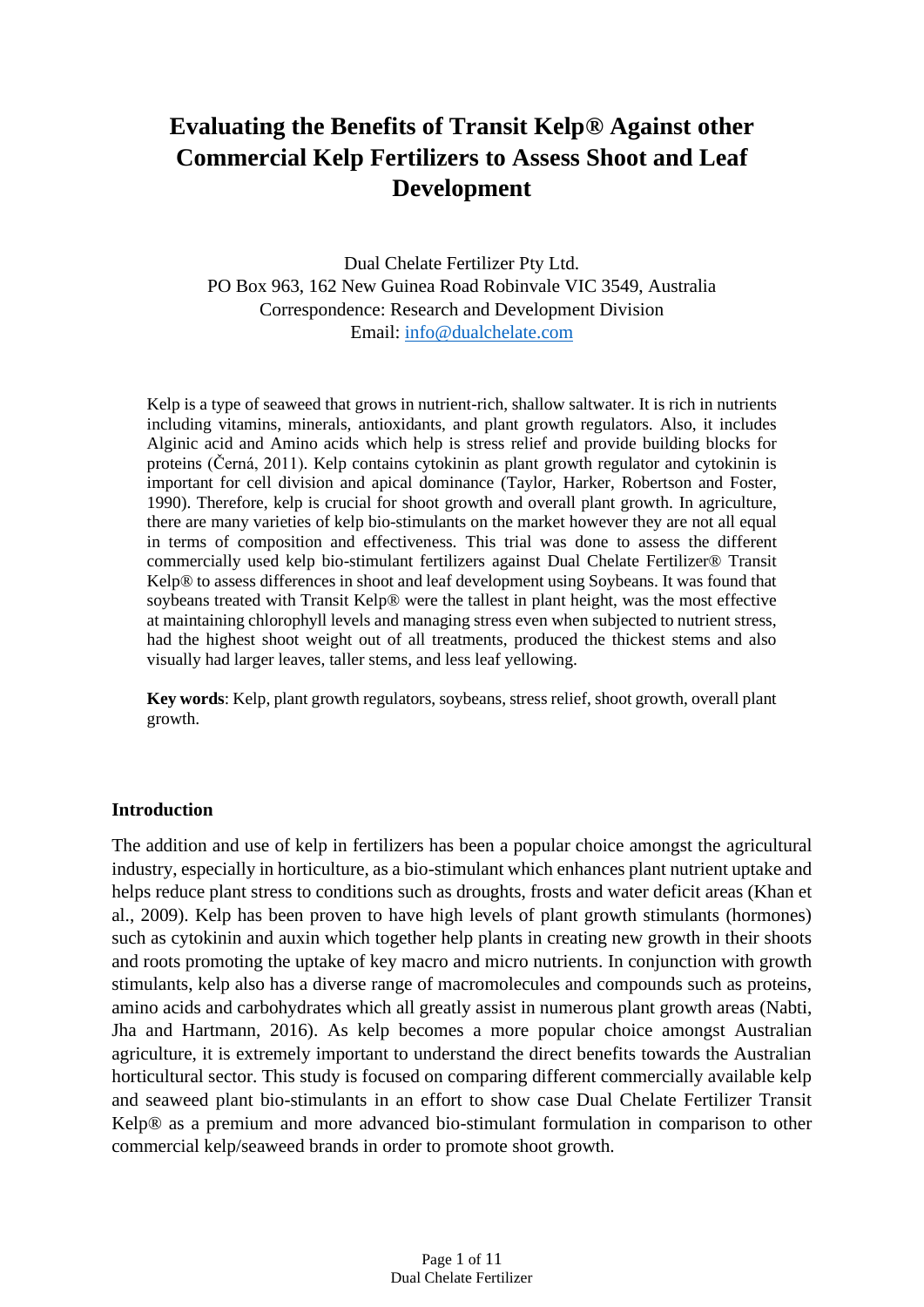# **Evaluating the Benefits of Transit Kelp® Against other Commercial Kelp Fertilizers to Assess Shoot and Leaf Development**

Dual Chelate Fertilizer Pty Ltd. PO Box 963, 162 New Guinea Road Robinvale VIC 3549, Australia Correspondence: Research and Development Division Email: [info@dualchelate.com](mailto:info@dualchelate.com)

Kelp is a type of seaweed that grows in nutrient-rich, shallow saltwater. It is rich in nutrients including vitamins, minerals, antioxidants, and plant growth regulators. Also, it includes Alginic acid and Amino acids which help is stress relief and provide building blocks for proteins (Černá, 2011). Kelp contains cytokinin as plant growth regulator and cytokinin is important for cell division and apical dominance (Taylor, Harker, Robertson and Foster, 1990). Therefore, kelp is crucial for shoot growth and overall plant growth. In agriculture, there are many varieties of kelp bio-stimulants on the market however they are not all equal in terms of composition and effectiveness. This trial was done to assess the different commercially used kelp bio-stimulant fertilizers against Dual Chelate Fertilizer® Transit Kelp® to assess differences in shoot and leaf development using Soybeans. It was found that soybeans treated with Transit Kelp® were the tallest in plant height, was the most effective at maintaining chlorophyll levels and managing stress even when subjected to nutrient stress, had the highest shoot weight out of all treatments, produced the thickest stems and also visually had larger leaves, taller stems, and less leaf yellowing.

**Key words**: Kelp, plant growth regulators, soybeans, stress relief, shoot growth, overall plant growth.

#### **Introduction**

The addition and use of kelp in fertilizers has been a popular choice amongst the agricultural industry, especially in horticulture, as a bio-stimulant which enhances plant nutrient uptake and helps reduce plant stress to conditions such as droughts, frosts and water deficit areas (Khan et al., 2009). Kelp has been proven to have high levels of plant growth stimulants (hormones) such as cytokinin and auxin which together help plants in creating new growth in their shoots and roots promoting the uptake of key macro and micro nutrients. In conjunction with growth stimulants, kelp also has a diverse range of macromolecules and compounds such as proteins, amino acids and carbohydrates which all greatly assist in numerous plant growth areas (Nabti, Jha and Hartmann, 2016). As kelp becomes a more popular choice amongst Australian agriculture, it is extremely important to understand the direct benefits towards the Australian horticultural sector. This study is focused on comparing different commercially available kelp and seaweed plant bio-stimulants in an effort to show case Dual Chelate Fertilizer Transit Kelp® as a premium and more advanced bio-stimulant formulation in comparison to other commercial kelp/seaweed brands in order to promote shoot growth.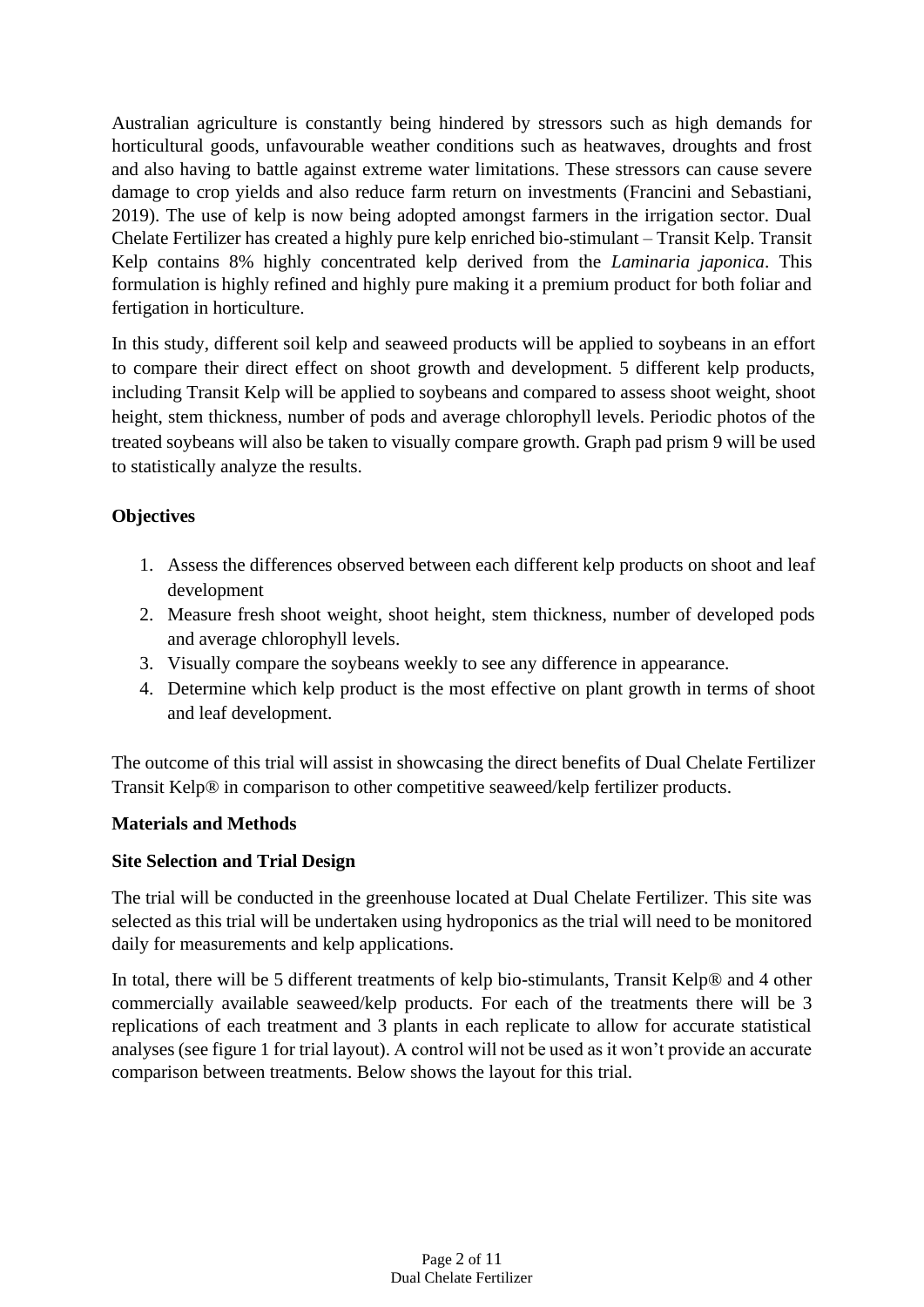Australian agriculture is constantly being hindered by stressors such as high demands for horticultural goods, unfavourable weather conditions such as heatwaves, droughts and frost and also having to battle against extreme water limitations. These stressors can cause severe damage to crop yields and also reduce farm return on investments (Francini and Sebastiani, 2019). The use of kelp is now being adopted amongst farmers in the irrigation sector. Dual Chelate Fertilizer has created a highly pure kelp enriched bio-stimulant – Transit Kelp. Transit Kelp contains 8% highly concentrated kelp derived from the *Laminaria japonica*. This formulation is highly refined and highly pure making it a premium product for both foliar and fertigation in horticulture.

In this study, different soil kelp and seaweed products will be applied to soybeans in an effort to compare their direct effect on shoot growth and development. 5 different kelp products, including Transit Kelp will be applied to soybeans and compared to assess shoot weight, shoot height, stem thickness, number of pods and average chlorophyll levels. Periodic photos of the treated soybeans will also be taken to visually compare growth. Graph pad prism 9 will be used to statistically analyze the results.

# **Objectives**

- 1. Assess the differences observed between each different kelp products on shoot and leaf development
- 2. Measure fresh shoot weight, shoot height, stem thickness, number of developed pods and average chlorophyll levels.
- 3. Visually compare the soybeans weekly to see any difference in appearance.
- 4. Determine which kelp product is the most effective on plant growth in terms of shoot and leaf development.

The outcome of this trial will assist in showcasing the direct benefits of Dual Chelate Fertilizer Transit Kelp® in comparison to other competitive seaweed/kelp fertilizer products.

# **Materials and Methods**

# **Site Selection and Trial Design**

The trial will be conducted in the greenhouse located at Dual Chelate Fertilizer. This site was selected as this trial will be undertaken using hydroponics as the trial will need to be monitored daily for measurements and kelp applications.

In total, there will be 5 different treatments of kelp bio-stimulants, Transit Kelp® and 4 other commercially available seaweed/kelp products. For each of the treatments there will be 3 replications of each treatment and 3 plants in each replicate to allow for accurate statistical analyses (see figure 1 for trial layout). A control will not be used as it won't provide an accurate comparison between treatments. Below shows the layout for this trial.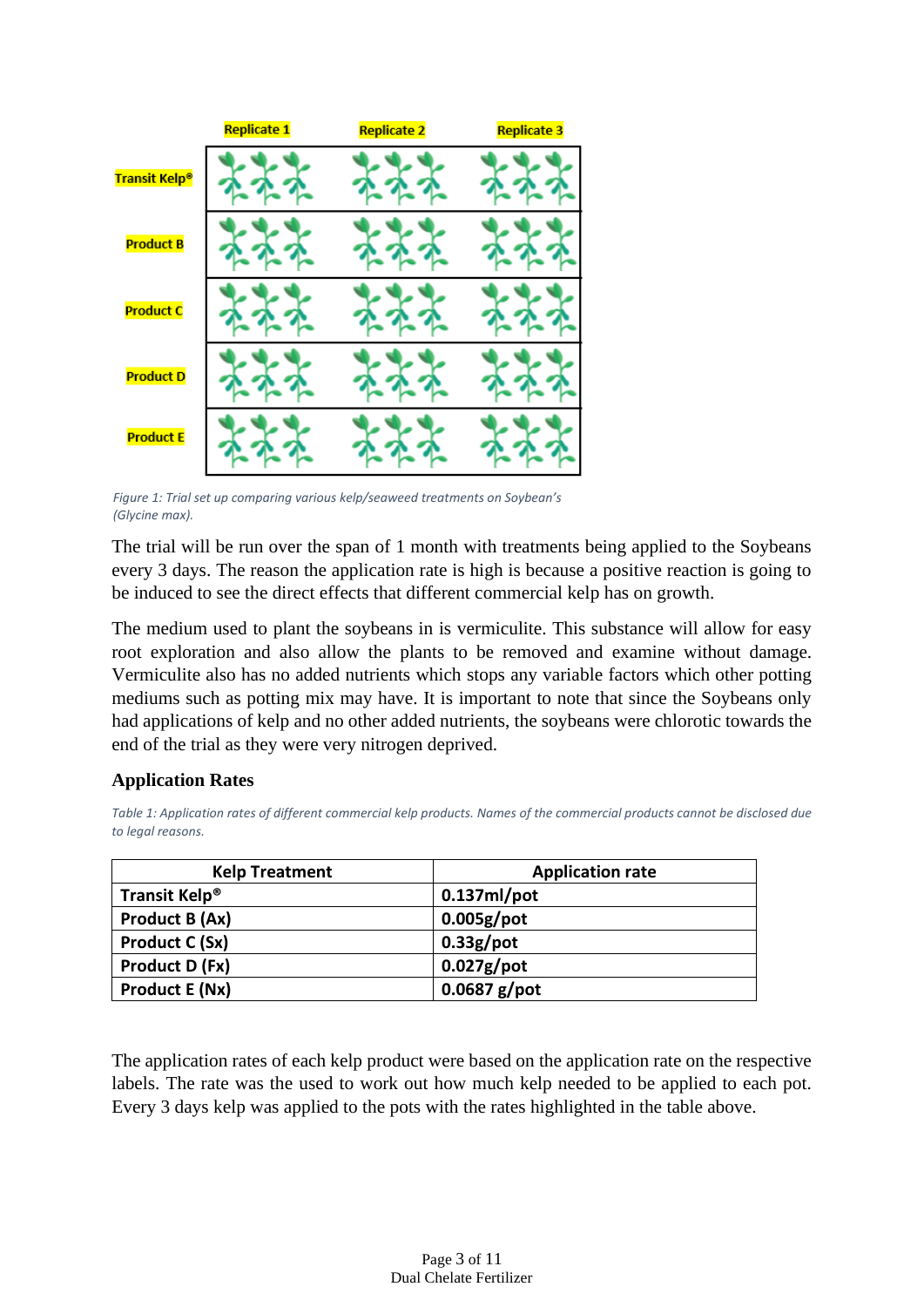

*Figure 1: Trial set up comparing various kelp/seaweed treatments on Soybean's (Glycine max).*

The trial will be run over the span of 1 month with treatments being applied to the Soybeans every 3 days. The reason the application rate is high is because a positive reaction is going to be induced to see the direct effects that different commercial kelp has on growth.

The medium used to plant the soybeans in is vermiculite. This substance will allow for easy root exploration and also allow the plants to be removed and examine without damage. Vermiculite also has no added nutrients which stops any variable factors which other potting mediums such as potting mix may have. It is important to note that since the Soybeans only had applications of kelp and no other added nutrients, the soybeans were chlorotic towards the end of the trial as they were very nitrogen deprived.

# **Application Rates**

*Table 1: Application rates of different commercial kelp products. Names of the commercial products cannot be disclosed due to legal reasons.*

| <b>Kelp Treatment</b>     | <b>Application rate</b> |
|---------------------------|-------------------------|
| Transit Kelp <sup>®</sup> | $0.137ml$ /pot          |
| Product B (Ax)            | $0.005g$ /pot           |
| <b>Product C (Sx)</b>     | $0.33g$ /pot            |
| Product D (Fx)            | $0.027g$ /pot           |
| <b>Product E (Nx)</b>     | $0.0687$ g/pot          |

The application rates of each kelp product were based on the application rate on the respective labels. The rate was the used to work out how much kelp needed to be applied to each pot. Every 3 days kelp was applied to the pots with the rates highlighted in the table above.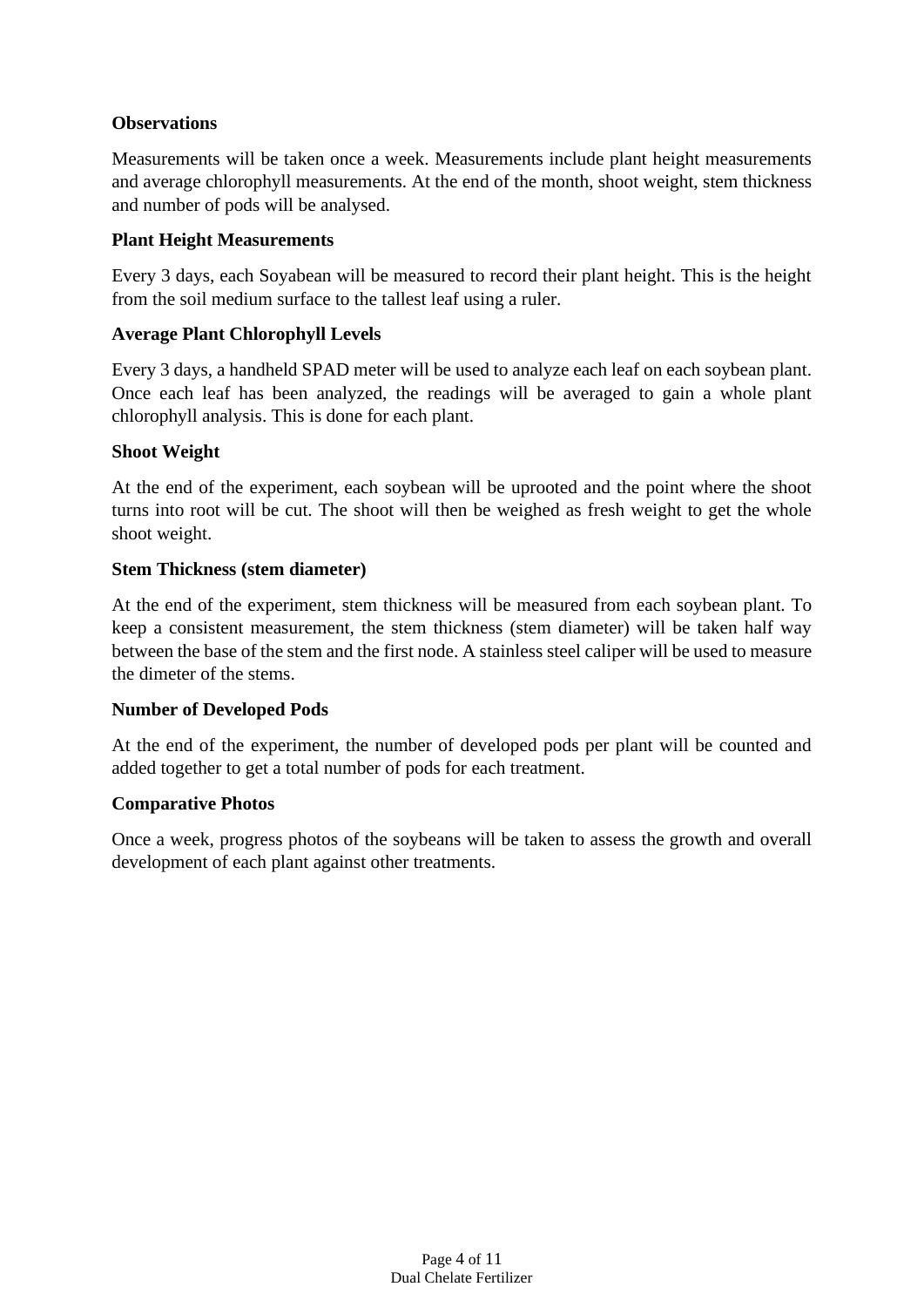## **Observations**

Measurements will be taken once a week. Measurements include plant height measurements and average chlorophyll measurements. At the end of the month, shoot weight, stem thickness and number of pods will be analysed.

#### **Plant Height Measurements**

Every 3 days, each Soyabean will be measured to record their plant height. This is the height from the soil medium surface to the tallest leaf using a ruler.

#### **Average Plant Chlorophyll Levels**

Every 3 days, a handheld SPAD meter will be used to analyze each leaf on each soybean plant. Once each leaf has been analyzed, the readings will be averaged to gain a whole plant chlorophyll analysis. This is done for each plant.

#### **Shoot Weight**

At the end of the experiment, each soybean will be uprooted and the point where the shoot turns into root will be cut. The shoot will then be weighed as fresh weight to get the whole shoot weight.

## **Stem Thickness (stem diameter)**

At the end of the experiment, stem thickness will be measured from each soybean plant. To keep a consistent measurement, the stem thickness (stem diameter) will be taken half way between the base of the stem and the first node. A stainless steel caliper will be used to measure the dimeter of the stems.

#### **Number of Developed Pods**

At the end of the experiment, the number of developed pods per plant will be counted and added together to get a total number of pods for each treatment.

#### **Comparative Photos**

Once a week, progress photos of the soybeans will be taken to assess the growth and overall development of each plant against other treatments.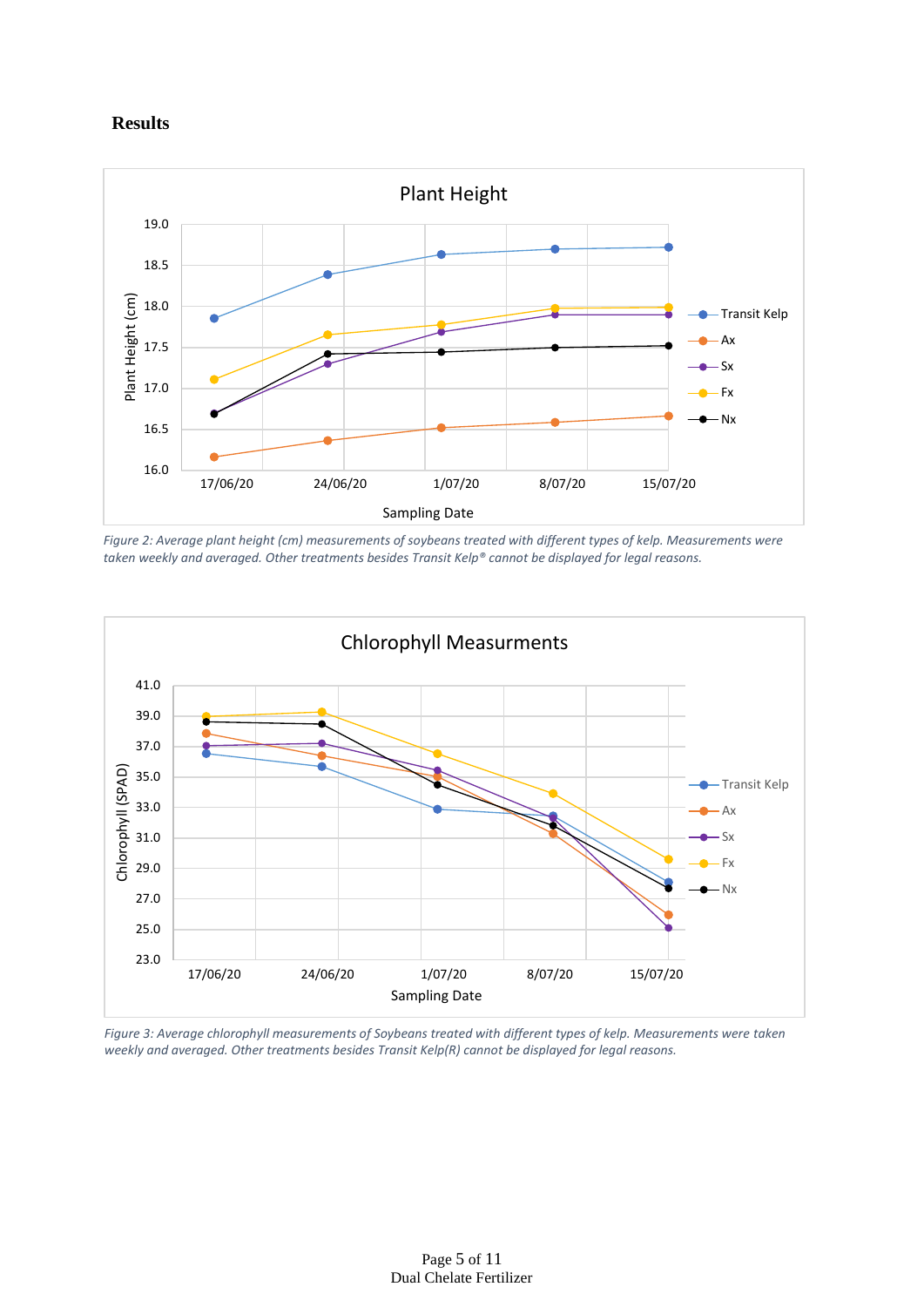#### **Results**



*Figure 2: Average plant height (cm) measurements of soybeans treated with different types of kelp. Measurements were taken weekly and averaged. Other treatments besides Transit Kelp® cannot be displayed for legal reasons.* 



*Figure 3: Average chlorophyll measurements of Soybeans treated with different types of kelp. Measurements were taken weekly and averaged. Other treatments besides Transit Kelp(R) cannot be displayed for legal reasons.*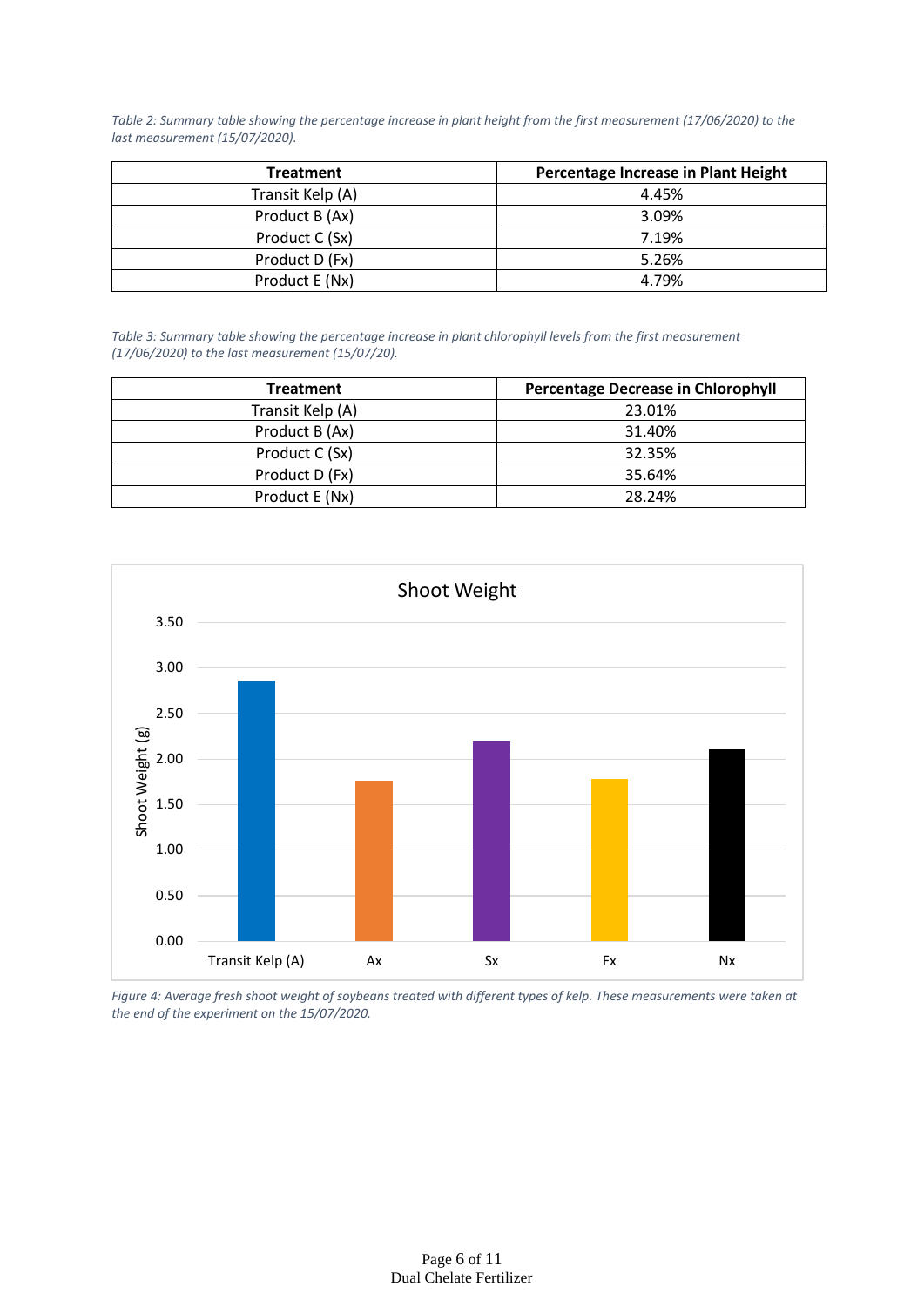*Table 2: Summary table showing the percentage increase in plant height from the first measurement (17/06/2020) to the last measurement (15/07/2020).*

| <b>Treatment</b> | Percentage Increase in Plant Height |
|------------------|-------------------------------------|
| Transit Kelp (A) | 4.45%                               |
| Product B (Ax)   | 3.09%                               |
| Product C (Sx)   | 7.19%                               |
| Product D (Fx)   | 5.26%                               |
| Product E (Nx)   | 4.79%                               |

*Table 3: Summary table showing the percentage increase in plant chlorophyll levels from the first measurement (17/06/2020) to the last measurement (15/07/20).*

| <b>Treatment</b> | <b>Percentage Decrease in Chlorophyll</b> |
|------------------|-------------------------------------------|
| Transit Kelp (A) | 23.01%                                    |
| Product B (Ax)   | 31.40%                                    |
| Product C (Sx)   | 32.35%                                    |
| Product D (Fx)   | 35.64%                                    |
| Product E (Nx)   | 28.24%                                    |



*Figure 4: Average fresh shoot weight of soybeans treated with different types of kelp. These measurements were taken at the end of the experiment on the 15/07/2020.*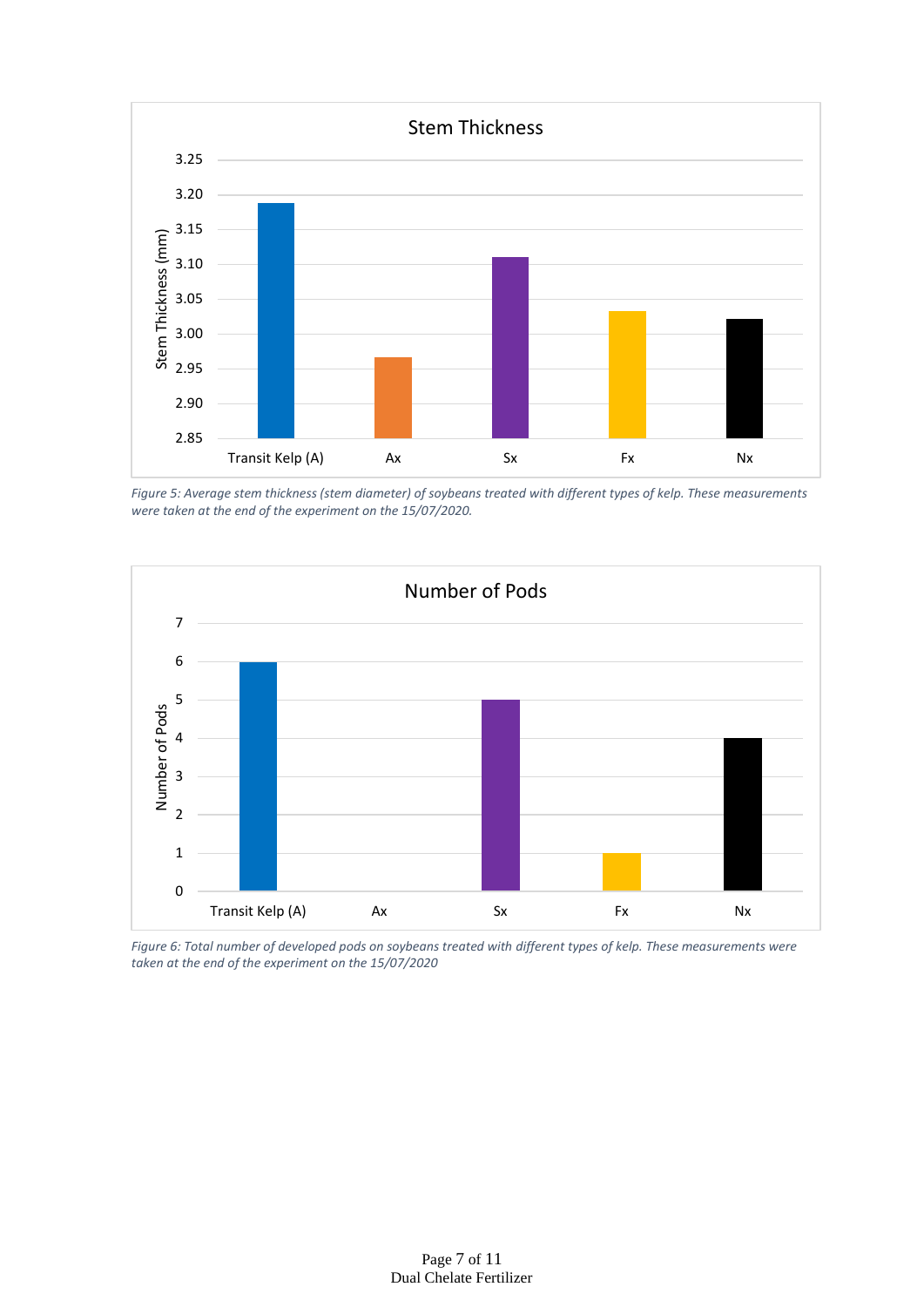

*Figure 5: Average stem thickness (stem diameter) of soybeans treated with different types of kelp. These measurements were taken at the end of the experiment on the 15/07/2020.*



*Figure 6: Total number of developed pods on soybeans treated with different types of kelp. These measurements were taken at the end of the experiment on the 15/07/2020*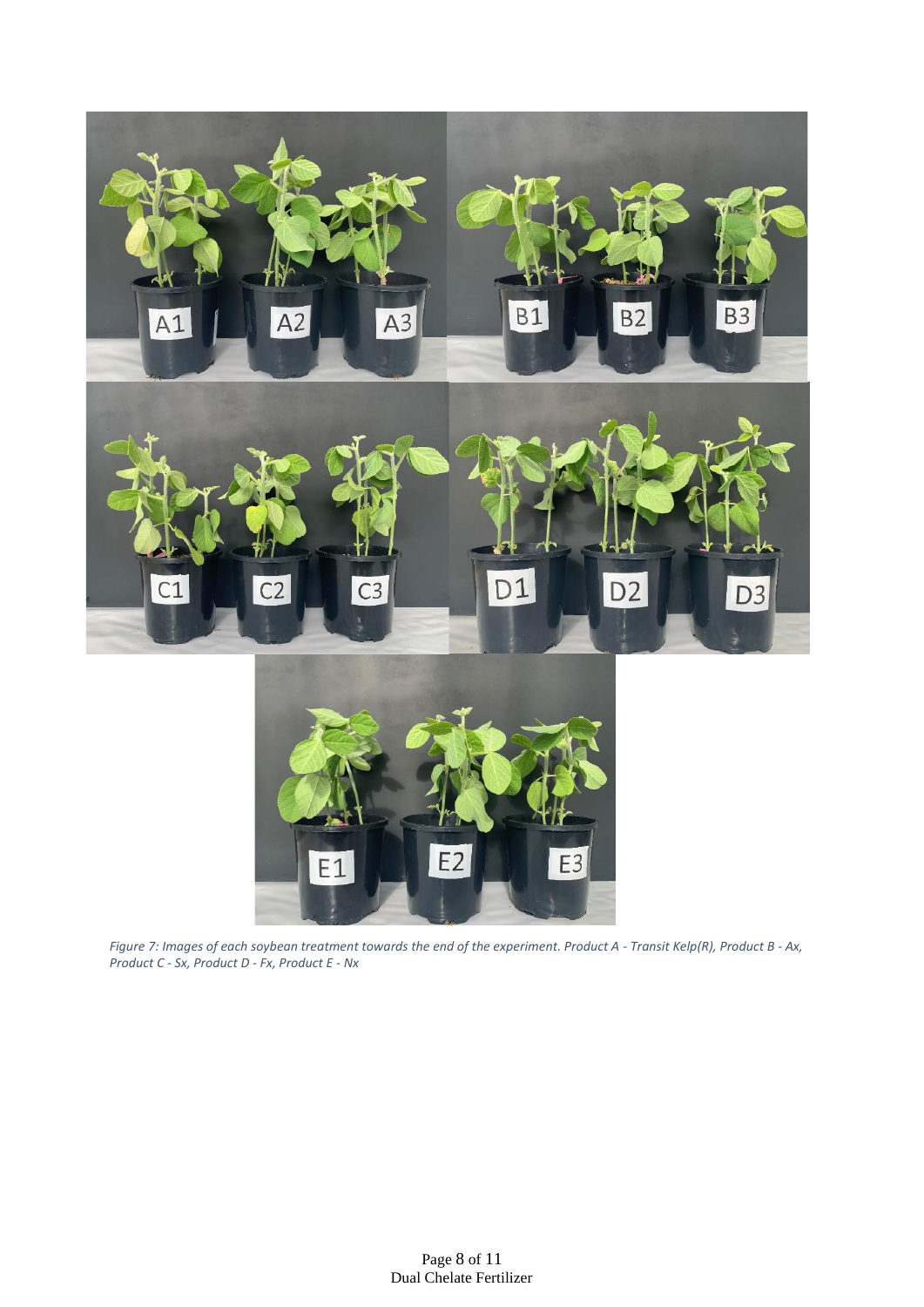



*Figure 7: Images of each soybean treatment towards the end of the experiment. Product A - Transit Kelp(R), Product B - Ax, Product C - Sx, Product D - Fx, Product E - Nx*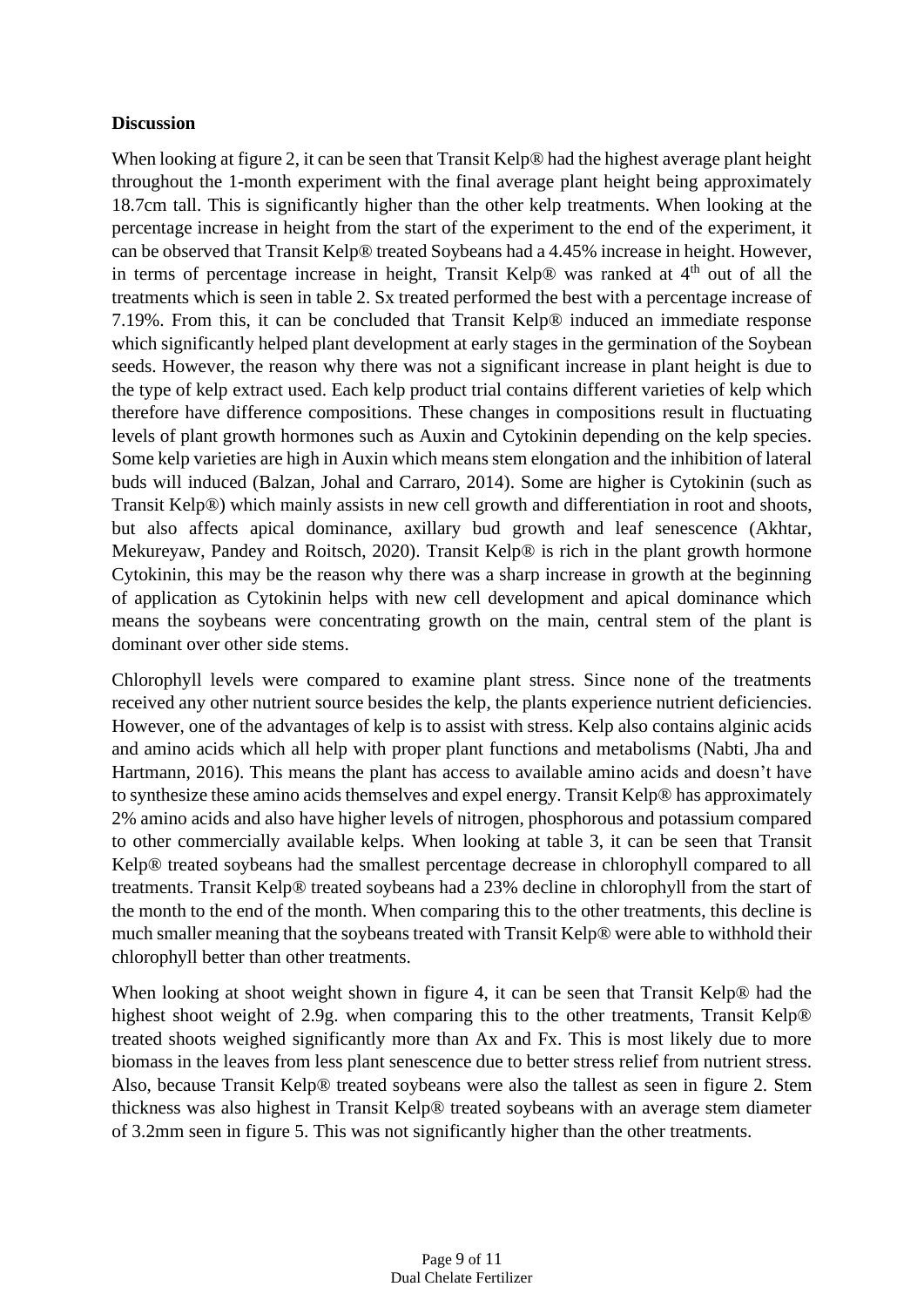#### **Discussion**

When looking at figure 2, it can be seen that Transit Kelp® had the highest average plant height throughout the 1-month experiment with the final average plant height being approximately 18.7cm tall. This is significantly higher than the other kelp treatments. When looking at the percentage increase in height from the start of the experiment to the end of the experiment, it can be observed that Transit Kelp® treated Soybeans had a 4.45% increase in height. However, in terms of percentage increase in height, Transit Kelp® was ranked at  $4<sup>th</sup>$  out of all the treatments which is seen in table 2. Sx treated performed the best with a percentage increase of 7.19%. From this, it can be concluded that Transit Kelp® induced an immediate response which significantly helped plant development at early stages in the germination of the Soybean seeds. However, the reason why there was not a significant increase in plant height is due to the type of kelp extract used. Each kelp product trial contains different varieties of kelp which therefore have difference compositions. These changes in compositions result in fluctuating levels of plant growth hormones such as Auxin and Cytokinin depending on the kelp species. Some kelp varieties are high in Auxin which means stem elongation and the inhibition of lateral buds will induced (Balzan, Johal and Carraro, 2014). Some are higher is Cytokinin (such as Transit Kelp®) which mainly assists in new cell growth and differentiation in root and shoots, but also affects apical dominance, axillary bud growth and leaf senescence (Akhtar, Mekureyaw, Pandey and Roitsch, 2020). Transit Kelp® is rich in the plant growth hormone Cytokinin, this may be the reason why there was a sharp increase in growth at the beginning of application as Cytokinin helps with new cell development and apical dominance which means the soybeans were concentrating growth on the main, central stem of the plant is dominant over other side stems.

Chlorophyll levels were compared to examine plant stress. Since none of the treatments received any other nutrient source besides the kelp, the plants experience nutrient deficiencies. However, one of the advantages of kelp is to assist with stress. Kelp also contains alginic acids and amino acids which all help with proper plant functions and metabolisms (Nabti, Jha and Hartmann, 2016). This means the plant has access to available amino acids and doesn't have to synthesize these amino acids themselves and expel energy. Transit Kelp® has approximately 2% amino acids and also have higher levels of nitrogen, phosphorous and potassium compared to other commercially available kelps. When looking at table 3, it can be seen that Transit Kelp® treated soybeans had the smallest percentage decrease in chlorophyll compared to all treatments. Transit Kelp® treated soybeans had a 23% decline in chlorophyll from the start of the month to the end of the month. When comparing this to the other treatments, this decline is much smaller meaning that the soybeans treated with Transit Kelp® were able to withhold their chlorophyll better than other treatments.

When looking at shoot weight shown in figure 4, it can be seen that Transit Kelp® had the highest shoot weight of 2.9g. when comparing this to the other treatments, Transit Kelp® treated shoots weighed significantly more than Ax and Fx. This is most likely due to more biomass in the leaves from less plant senescence due to better stress relief from nutrient stress. Also, because Transit Kelp® treated soybeans were also the tallest as seen in figure 2. Stem thickness was also highest in Transit Kelp® treated soybeans with an average stem diameter of 3.2mm seen in figure 5. This was not significantly higher than the other treatments.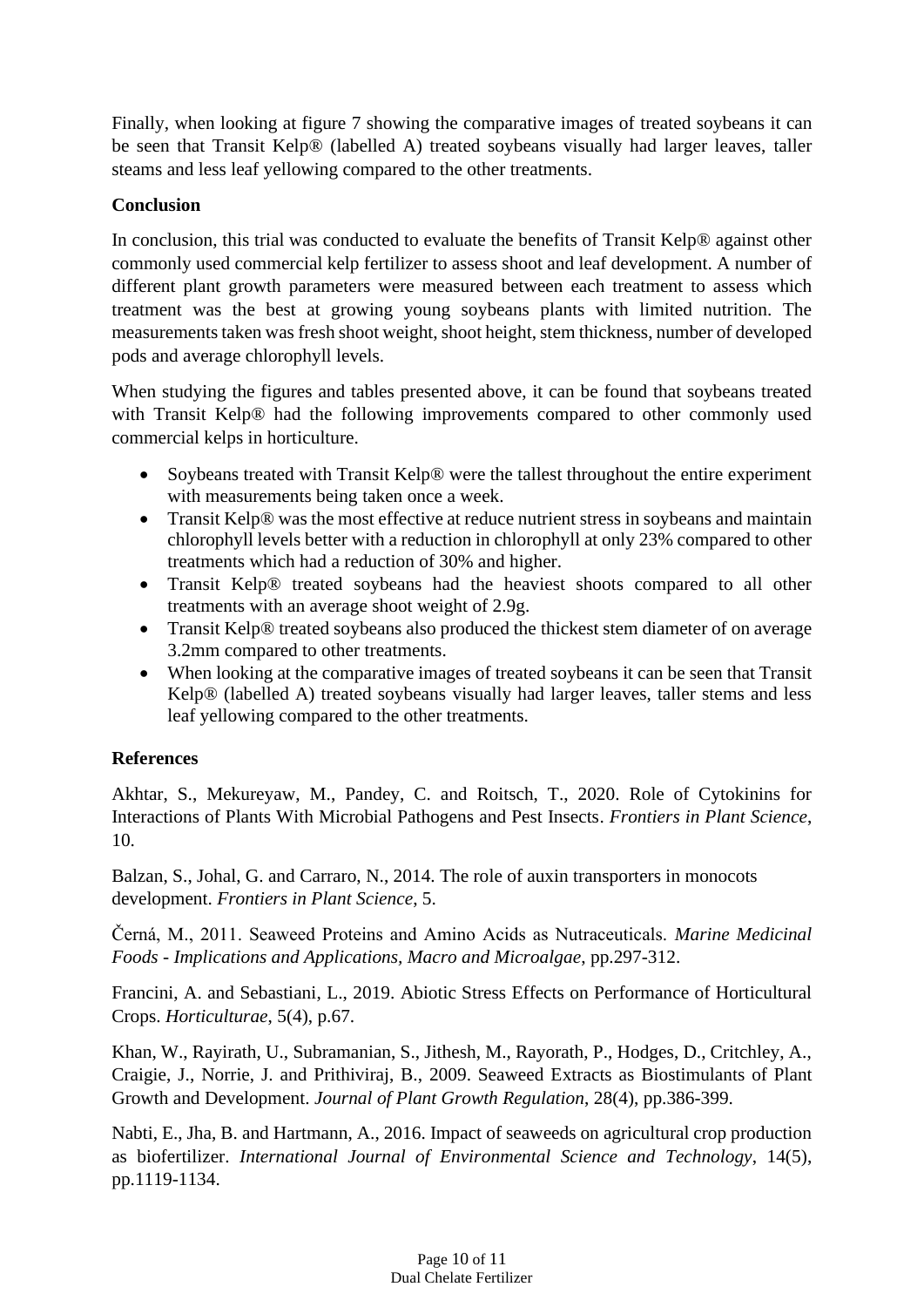Finally, when looking at figure 7 showing the comparative images of treated soybeans it can be seen that Transit Kelp® (labelled A) treated soybeans visually had larger leaves, taller steams and less leaf yellowing compared to the other treatments.

## **Conclusion**

In conclusion, this trial was conducted to evaluate the benefits of Transit Kelp® against other commonly used commercial kelp fertilizer to assess shoot and leaf development. A number of different plant growth parameters were measured between each treatment to assess which treatment was the best at growing young soybeans plants with limited nutrition. The measurements taken was fresh shoot weight, shoot height, stem thickness, number of developed pods and average chlorophyll levels.

When studying the figures and tables presented above, it can be found that soybeans treated with Transit Kelp® had the following improvements compared to other commonly used commercial kelps in horticulture.

- Soybeans treated with Transit Kelp<sup>®</sup> were the tallest throughout the entire experiment with measurements being taken once a week.
- Transit Kelp<sup>®</sup> was the most effective at reduce nutrient stress in soybeans and maintain chlorophyll levels better with a reduction in chlorophyll at only 23% compared to other treatments which had a reduction of 30% and higher.
- Transit Kelp® treated soybeans had the heaviest shoots compared to all other treatments with an average shoot weight of 2.9g.
- Transit Kelp® treated soybeans also produced the thickest stem diameter of on average 3.2mm compared to other treatments.
- When looking at the comparative images of treated soybeans it can be seen that Transit Kelp® (labelled A) treated soybeans visually had larger leaves, taller stems and less leaf yellowing compared to the other treatments.

#### **References**

Akhtar, S., Mekureyaw, M., Pandey, C. and Roitsch, T., 2020. Role of Cytokinins for Interactions of Plants With Microbial Pathogens and Pest Insects. *Frontiers in Plant Science*, 10.

Balzan, S., Johal, G. and Carraro, N., 2014. The role of auxin transporters in monocots development. *Frontiers in Plant Science*, 5.

Černá, M., 2011. Seaweed Proteins and Amino Acids as Nutraceuticals. *Marine Medicinal Foods - Implications and Applications, Macro and Microalgae*, pp.297-312.

Francini, A. and Sebastiani, L., 2019. Abiotic Stress Effects on Performance of Horticultural Crops. *Horticulturae*, 5(4), p.67.

Khan, W., Rayirath, U., Subramanian, S., Jithesh, M., Rayorath, P., Hodges, D., Critchley, A., Craigie, J., Norrie, J. and Prithiviraj, B., 2009. Seaweed Extracts as Biostimulants of Plant Growth and Development. *Journal of Plant Growth Regulation*, 28(4), pp.386-399.

Nabti, E., Jha, B. and Hartmann, A., 2016. Impact of seaweeds on agricultural crop production as biofertilizer. *International Journal of Environmental Science and Technology*, 14(5), pp.1119-1134.